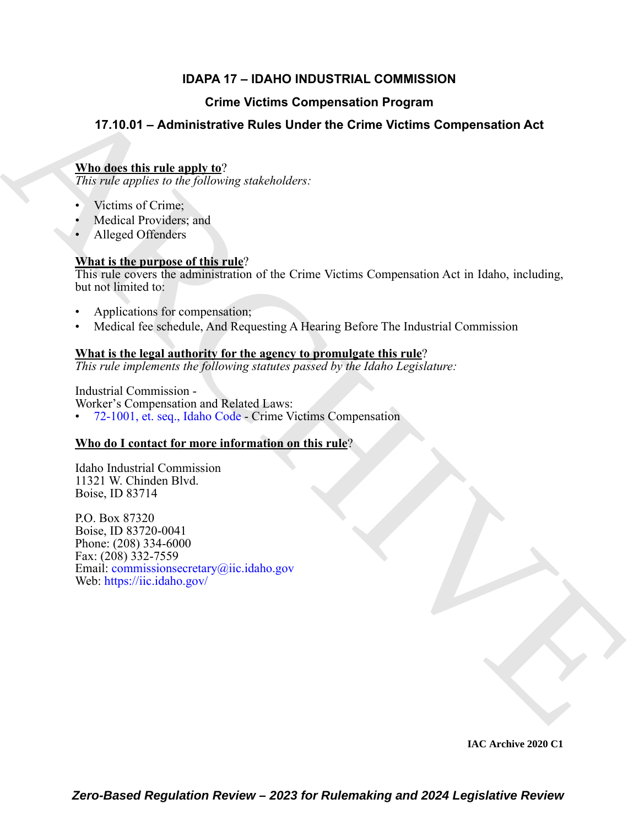# **IDAPA 17 – IDAHO INDUSTRIAL COMMISSION**

# **Crime Victims Compensation Program**

# **17.10.01 – Administrative Rules Under the Crime Victims Compensation Act**

# **Who does this rule apply to**?

*This rule applies to the following stakeholders:*

- Victims of Crime;
- Medical Providers; and
- Alleged Offenders

# **What is the purpose of this rule**?

This rule covers the administration of the Crime Victims Compensation Act in Idaho, including, but not limited to:

- Applications for compensation;
- Medical fee schedule, And Requesting A Hearing Before The Industrial Commission

# **What is the legal authority for the agency to promulgate this rule**?

*This rule implements the following statutes passed by the Idaho Legislature:*

Industrial Commission -

Worker's Compensation and Related Laws:

• 72-1001, et. seq., Idaho Code - Crime Victims Compensation

# **Who do I contact for more information on this rule**?

Idaho Industrial Commission 11321 W. Chinden Blvd. Boise, ID 83714

**[C](https://legislature.idaho.gov/statutesrules/idstat/Title72/T72CH10/)rime Victims Compensation Program**<br>
17.10.01 - Administrative Rules Under the Crime Victims Compensation Act<br>
This disc option in the following stable<br>heles:<br>
This disc of the crime of the crime of the crime of the Crim P.O. Box 87320 Boise, ID 83720-0041 Phone: (208) 334-6000 Fax: (208) 332-7559 Email: commissionsecretary@iic.idaho.gov Web: https://iic.idaho.gov/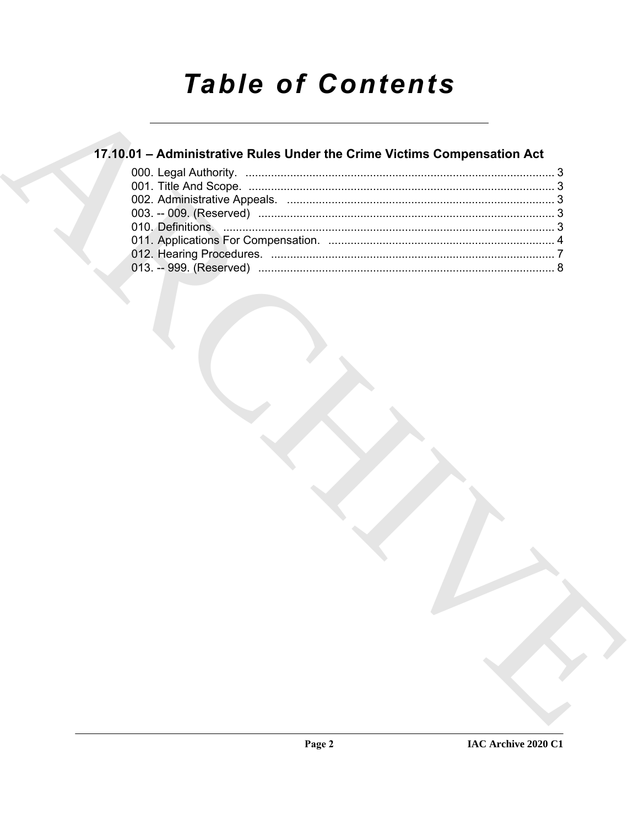# **Table of Contents**

# 17.10.01 - Administrative Rules Under the Crime Victims Compensation Act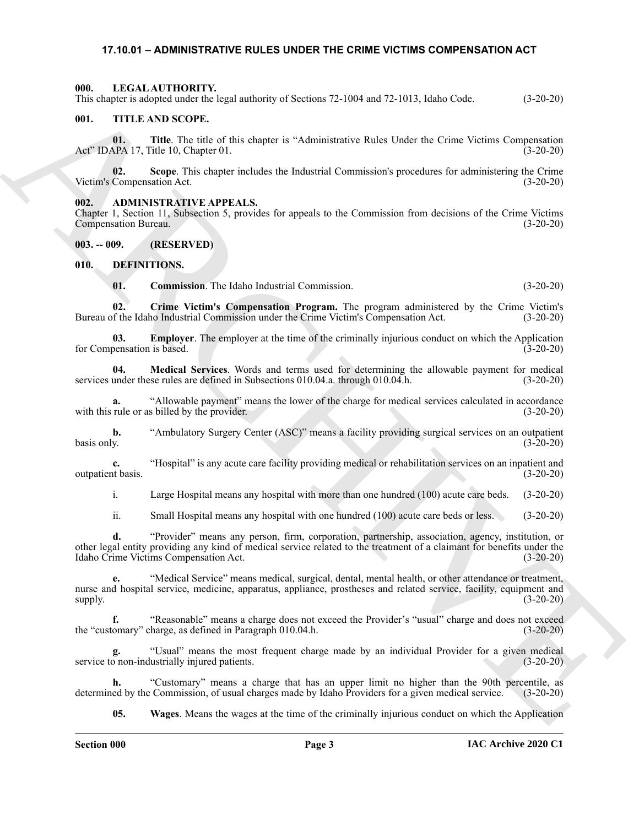#### <span id="page-2-13"></span><span id="page-2-0"></span>**17.10.01 – ADMINISTRATIVE RULES UNDER THE CRIME VICTIMS COMPENSATION ACT**

<span id="page-2-1"></span>**000. LEGAL AUTHORITY.**

This chapter is adopted under the legal authority of Sections 72-1004 and 72-1013, Idaho Code. (3-20-20)

#### <span id="page-2-14"></span><span id="page-2-2"></span>**001. TITLE AND SCOPE.**

**01. Title**. The title of this chapter is "Administrative Rules Under the Crime Victims Compensation Act" IDAPA 17, Title 10, Chapter 01. (3-20-20)

**02.** Scope. This chapter includes the Industrial Commission's procedures for administering the Crime Compensation Act. (3-20-20) Victim's Compensation Act.

#### <span id="page-2-6"></span><span id="page-2-3"></span>**002. ADMINISTRATIVE APPEALS.**

Chapter 1, Section 11, Subsection 5, provides for appeals to the Commission from decisions of the Crime Victims Compensation Bureau.

<span id="page-2-4"></span>**003. -- 009. (RESERVED)**

#### <span id="page-2-5"></span>**010. DEFINITIONS.**

<span id="page-2-10"></span><span id="page-2-9"></span><span id="page-2-8"></span><span id="page-2-7"></span>**01. Commission**. The Idaho Industrial Commission. (3-20-20)

**02.** Crime Victim's Compensation Program. The program administered by the Crime Victim's of the Idaho Industrial Commission under the Crime Victim's Compensation Act. (3-20-20) Bureau of the Idaho Industrial Commission under the Crime Victim's Compensation Act.

**03. Employer**. The employer at the time of the criminally injurious conduct on which the Application is based. (3-20-20) for Compensation is based.

<span id="page-2-11"></span>**04.** Medical Services. Words and terms used for determining the allowable payment for medical under these rules are defined in Subsections 010.04.a. through 010.04.h. (3-20-20) services under these rules are defined in Subsections  $010.04$ .a. through  $010.04$ .h.

**a.** "Allowable payment" means the lower of the charge for medical services calculated in accordance rule or as billed by the provider. (3-20-20) with this rule or as billed by the provider.

**b.** "Ambulatory Surgery Center (ASC)" means a facility providing surgical services on an outpatient basis only.  $(3-20-20)$ basis only. (3-20-20)

**c.** "Hospital" is any acute care facility providing medical or rehabilitation services on an inpatient and the basis. outpatient basis.

i. Large Hospital means any hospital with more than one hundred (100) acute care beds. (3-20-20)

ii. Small Hospital means any hospital with one hundred (100) acute care beds or less. (3-20-20)

This capacities is dependent the log-<br>and the Eucker Research is dependent of Section 72 1004 and 72 1013, lake Craic, 13 20 30<br>
01. TITLE AND SCOPE.<br>
ARCHIVER'S Compare is the chiraction of the first of Critics of the Cr **d.** "Provider" means any person, firm, corporation, partnership, association, agency, institution, or other legal entity providing any kind of medical service related to the treatment of a claimant for benefits under the Idaho Crime Victims Compensation Act. (3-20-20)

**e.** "Medical Service" means medical, surgical, dental, mental health, or other attendance or treatment, nurse and hospital service, medicine, apparatus, appliance, prostheses and related service, facility, equipment and supply. (3-20-20)  $(3-20-20)$   $(3-20-20)$ 

**f.** "Reasonable" means a charge does not exceed the Provider's "usual" charge and does not exceed comary" charge, as defined in Paragraph 010.04.h. (3-20-20) the "customary" charge, as defined in Paragraph 010.04.h.

**g.** "Usual" means the most frequent charge made by an individual Provider for a given medical service to non-industrially injured patients.

**h.** "Customary" means a charge that has an upper limit no higher than the 90th percentile, as determined by the Commission, of usual charges made by Idaho Providers for a given medical service.

<span id="page-2-12"></span>**05. Wages**. Means the wages at the time of the criminally injurious conduct on which the Application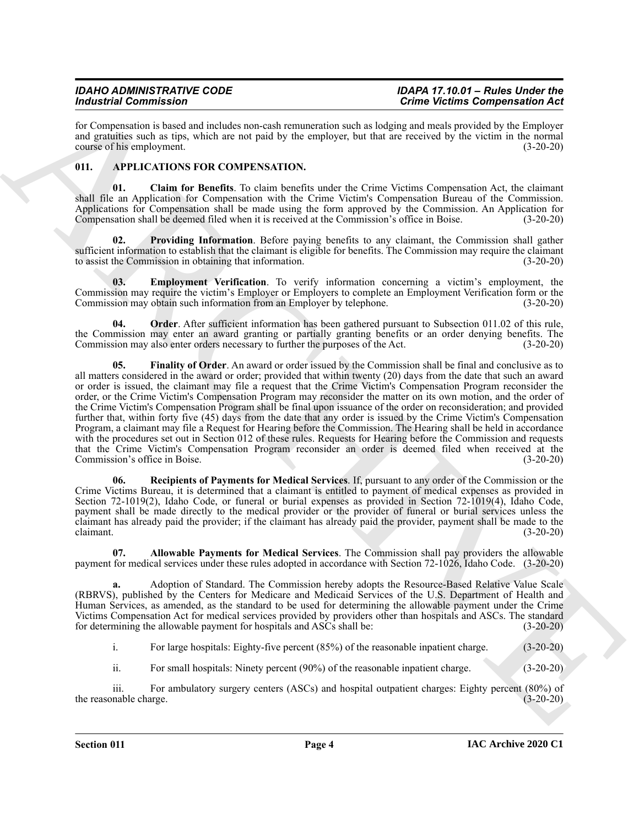for Compensation is based and includes non-cash remuneration such as lodging and meals provided by the Employer and gratuities such as tips, which are not paid by the employer, but that are received by the victim in the normal course of his employment. (3-20-20)

### <span id="page-3-1"></span><span id="page-3-0"></span>**011. APPLICATIONS FOR COMPENSATION.**

<span id="page-3-3"></span>**01. Claim for Benefits**. To claim benefits under the Crime Victims Compensation Act, the claimant shall file an Application for Compensation with the Crime Victim's Compensation Bureau of the Commission. Applications for Compensation shall be made using the form approved by the Commission. An Application for Compensation shall be deemed filed when it is received at the Commission's office in Boise. (3-20-20)

<span id="page-3-7"></span>**02. Providing Information**. Before paying benefits to any claimant, the Commission shall gather sufficient information to establish that the claimant is eligible for benefits. The Commission may require the claimant to assist the Commission in obtaining that information. (3-20-20)

<span id="page-3-4"></span>**03. Employment Verification**. To verify information concerning a victim's employment, the Commission may require the victim's Employer or Employers to complete an Employment Verification form or the Commission may obtain such information from an Employer by telephone. (3-20-20) Commission may obtain such information from an Employer by telephone.

<span id="page-3-6"></span><span id="page-3-5"></span>**04. Order**. After sufficient information has been gathered pursuant to Subsection 011.02 of this rule, the Commission may enter an award granting or partially granting benefits or an order denying benefits. The Commission may also enter orders necessary to further the purposes of the Act. (3-20-20) Commission may also enter orders necessary to further the purposes of the Act.

For the state of the state of the state and the state of the state of the state of the state of the state of the state of the state of the state of the state of the state of the state of the state of the state of the stat **05. Finality of Order**. An award or order issued by the Commission shall be final and conclusive as to all matters considered in the award or order; provided that within twenty (20) days from the date that such an award or order is issued, the claimant may file a request that the Crime Victim's Compensation Program reconsider the order, or the Crime Victim's Compensation Program may reconsider the matter on its own motion, and the order of the Crime Victim's Compensation Program shall be final upon issuance of the order on reconsideration; and provided further that, within forty five (45) days from the date that any order is issued by the Crime Victim's Compensation Program, a claimant may file a Request for Hearing before the Commission. The Hearing shall be held in accordance with the procedures set out in Section 012 of these rules. Requests for Hearing before the Commission and requests that the Crime Victim's Compensation Program reconsider an order is deemed filed when received at the Commission's office in Boise. (3-20-20)

<span id="page-3-8"></span>**06. Recipients of Payments for Medical Services**. If, pursuant to any order of the Commission or the Crime Victims Bureau, it is determined that a claimant is entitled to payment of medical expenses as provided in Section 72-1019(2), Idaho Code, or funeral or burial expenses as provided in Section 72-1019(4), Idaho Code, payment shall be made directly to the medical provider or the provider of funeral or burial services unless the claimant has already paid the provider; if the claimant has already paid the provider, payment shall be made to the claimant.  $(3-20-20)$ 

<span id="page-3-2"></span>**07. Allowable Payments for Medical Services**. The Commission shall pay providers the allowable payment for medical services under these rules adopted in accordance with Section 72-1026, Idaho Code. (3-20-20)

**a.** Adoption of Standard. The Commission hereby adopts the Resource-Based Relative Value Scale (RBRVS), published by the Centers for Medicare and Medicaid Services of the U.S. Department of Health and Human Services, as amended, as the standard to be used for determining the allowable payment under the Crime Victims Compensation Act for medical services provided by providers other than hospitals and ASCs. The standard for determining the allowable payment for hospitals and ASCs shall be: (3-20-20)

i. For large hospitals: Eighty-five percent (85%) of the reasonable inpatient charge. (3-20-20)

ii. For small hospitals: Ninety percent (90%) of the reasonable inpatient charge. (3-20-20)

iii. For ambulatory surgery centers (ASCs) and hospital outpatient charges: Eighty percent (80%) of mable charge. (3-20-20) the reasonable charge.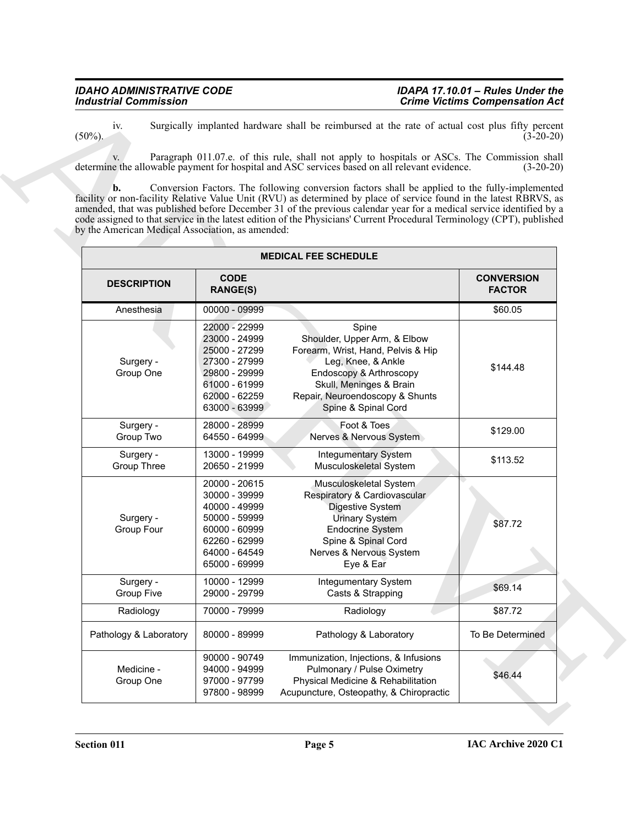| iv.<br>$(50\%)$ .                                                  |                                                                                                                                      | Surgically implanted hardware shall be reimbursed at the rate of actual cost plus fifty percent<br>Paragraph 011.07.e. of this rule, shall not apply to hospitals or ASCs. The Commission shall                                                                                                                                                                                                                                                                                                                                                                       | $(3-20-20)$                        |
|--------------------------------------------------------------------|--------------------------------------------------------------------------------------------------------------------------------------|-----------------------------------------------------------------------------------------------------------------------------------------------------------------------------------------------------------------------------------------------------------------------------------------------------------------------------------------------------------------------------------------------------------------------------------------------------------------------------------------------------------------------------------------------------------------------|------------------------------------|
| $\mathbf{b}$ .<br>by the American Medical Association, as amended: |                                                                                                                                      | determine the allowable payment for hospital and ASC services based on all relevant evidence.<br>Conversion Factors. The following conversion factors shall be applied to the fully-implemented<br>facility or non-facility Relative Value Unit (RVU) as determined by place of service found in the latest RBRVS, as<br>amended, that was published before December 31 of the previous calendar year for a medical service identified by a<br>code assigned to that service in the latest edition of the Physicians' Current Procedural Terminology (CPT), published | $(3-20-20)$                        |
|                                                                    |                                                                                                                                      | <b>MEDICAL FEE SCHEDULE</b>                                                                                                                                                                                                                                                                                                                                                                                                                                                                                                                                           |                                    |
| <b>DESCRIPTION</b>                                                 | <b>CODE</b><br><b>RANGE(S)</b>                                                                                                       |                                                                                                                                                                                                                                                                                                                                                                                                                                                                                                                                                                       | <b>CONVERSION</b><br><b>FACTOR</b> |
| Anesthesia                                                         | 00000 - 09999                                                                                                                        |                                                                                                                                                                                                                                                                                                                                                                                                                                                                                                                                                                       | \$60.05                            |
| Surgery -<br>Group One                                             | 22000 - 22999<br>23000 - 24999<br>25000 - 27299<br>27300 - 27999<br>29800 - 29999<br>61000 - 61999<br>62000 - 62259<br>63000 - 63999 | Spine<br>Shoulder, Upper Arm, & Elbow<br>Forearm, Wrist, Hand, Pelvis & Hip<br>Leg, Knee, & Ankle<br>Endoscopy & Arthroscopy<br>Skull, Meninges & Brain<br>Repair, Neuroendoscopy & Shunts<br>Spine & Spinal Cord                                                                                                                                                                                                                                                                                                                                                     | \$144.48                           |
| Surgery -<br>Group Two                                             | 28000 - 28999<br>64550 - 64999                                                                                                       | Foot & Toes<br>Nerves & Nervous System                                                                                                                                                                                                                                                                                                                                                                                                                                                                                                                                | \$129.00                           |
| Surgery -<br><b>Group Three</b>                                    | 13000 - 19999<br>20650 - 21999                                                                                                       | Integumentary System<br>Musculoskeletal System                                                                                                                                                                                                                                                                                                                                                                                                                                                                                                                        | \$113.52                           |
| Surgery -<br>Group Four                                            | 20000 - 20615<br>30000 - 39999<br>40000 - 49999<br>50000 - 59999<br>60000 - 60999<br>62260 - 62999<br>64000 - 64549<br>65000 - 69999 | Musculoskeletal System<br>Respiratory & Cardiovascular<br>Digestive System<br><b>Urinary System</b><br><b>Endocrine System</b><br>Spine & Spinal Cord<br>Nerves & Nervous System<br>Eye & Ear                                                                                                                                                                                                                                                                                                                                                                         | \$87.72                            |
| Surgery -<br><b>Group Five</b>                                     | 10000 - 12999<br>29000 - 29799                                                                                                       | Integumentary System<br>Casts & Strapping                                                                                                                                                                                                                                                                                                                                                                                                                                                                                                                             | \$69.14                            |
| Radiology                                                          | 70000 - 79999                                                                                                                        | Radiology                                                                                                                                                                                                                                                                                                                                                                                                                                                                                                                                                             | \$87.72                            |
| Pathology & Laboratory                                             | 80000 - 89999                                                                                                                        | Pathology & Laboratory                                                                                                                                                                                                                                                                                                                                                                                                                                                                                                                                                | To Be Determined                   |
| Medicine -<br>Group One                                            | 90000 - 90749<br>94000 - 94999<br>97000 - 97799<br>97800 - 98999                                                                     | Immunization, Injections, & Infusions<br>Pulmonary / Pulse Oximetry<br>Physical Medicine & Rehabilitation<br>Acupuncture, Osteopathy, & Chiropractic                                                                                                                                                                                                                                                                                                                                                                                                                  | \$46.44                            |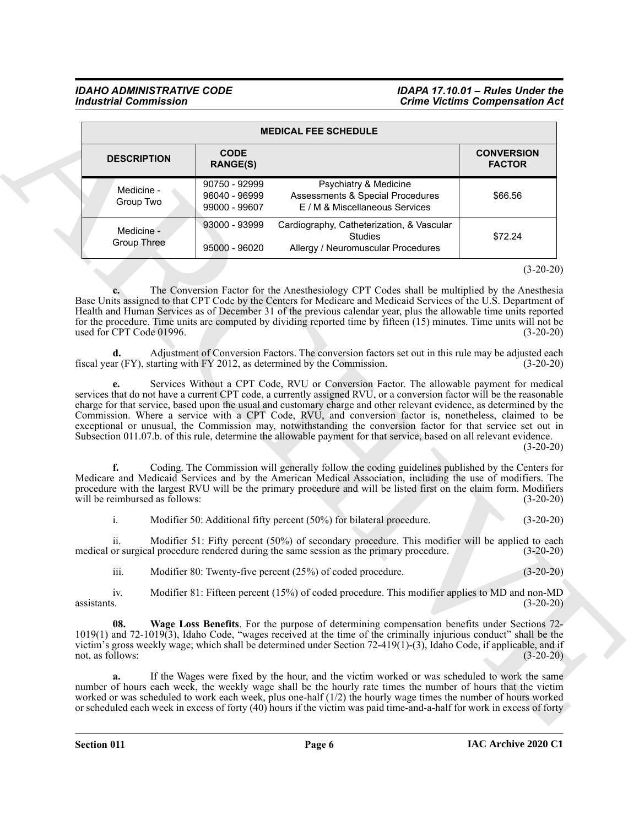<span id="page-5-0"></span>

| <b>MEDICAL FEE SCHEDULE</b>          |                                                 |                                                                                                                                                                                                                                                                                                                                                                                                                                                                                                                                                                                                                                                                                                                                                                                                                                                                                                                                          |                                    |  |
|--------------------------------------|-------------------------------------------------|------------------------------------------------------------------------------------------------------------------------------------------------------------------------------------------------------------------------------------------------------------------------------------------------------------------------------------------------------------------------------------------------------------------------------------------------------------------------------------------------------------------------------------------------------------------------------------------------------------------------------------------------------------------------------------------------------------------------------------------------------------------------------------------------------------------------------------------------------------------------------------------------------------------------------------------|------------------------------------|--|
| <b>DESCRIPTION</b>                   | <b>CODE</b><br><b>RANGE(S)</b>                  |                                                                                                                                                                                                                                                                                                                                                                                                                                                                                                                                                                                                                                                                                                                                                                                                                                                                                                                                          | <b>CONVERSION</b><br><b>FACTOR</b> |  |
| Medicine -<br>Group Two              | 90750 - 92999<br>96040 - 96999<br>99000 - 99607 | Psychiatry & Medicine<br>Assessments & Special Procedures<br>E / M & Miscellaneous Services                                                                                                                                                                                                                                                                                                                                                                                                                                                                                                                                                                                                                                                                                                                                                                                                                                              | \$66.56                            |  |
| Medicine -<br><b>Group Three</b>     | 93000 - 93999<br>95000 - 96020                  | Cardiography, Catheterization, & Vascular<br><b>Studies</b><br>Allergy / Neuromuscular Procedures                                                                                                                                                                                                                                                                                                                                                                                                                                                                                                                                                                                                                                                                                                                                                                                                                                        | \$72.24                            |  |
| used for CPT Code 01996.             |                                                 | The Conversion Factor for the Anesthesiology CPT Codes shall be multiplied by the Anesthesia<br>Base Units assigned to that CPT Code by the Centers for Medicare and Medicaid Services of the U.S. Department of<br>Health and Human Services as of December 31 of the previous calendar year, plus the allowable time units reported<br>for the procedure. Time units are computed by dividing reported time by fifteen (15) minutes. Time units will not be                                                                                                                                                                                                                                                                                                                                                                                                                                                                            | $(3-20-20)$<br>$(3-20-20)$         |  |
| d.                                   |                                                 | Adjustment of Conversion Factors. The conversion factors set out in this rule may be adjusted each<br>fiscal year (FY), starting with FY 2012, as determined by the Commission.                                                                                                                                                                                                                                                                                                                                                                                                                                                                                                                                                                                                                                                                                                                                                          | $(3-20-20)$                        |  |
| f.<br>will be reimbursed as follows: |                                                 | services that do not have a current CPT code, a currently assigned RVU, or a conversion factor will be the reasonable<br>charge for that service, based upon the usual and customary charge and other relevant evidence, as determined by the<br>Commission. Where a service with a CPT Code, RVU, and conversion factor is, nonetheless, claimed to be<br>exceptional or unusual, the Commission may, notwithstanding the conversion factor for that service set out in<br>Subsection 011.07.b. of this rule, determine the allowable payment for that service, based on all relevant evidence.<br>Coding. The Commission will generally follow the coding guidelines published by the Centers for<br>Medicare and Medicaid Services and by the American Medical Association, including the use of modifiers. The<br>procedure with the largest RVU will be the primary procedure and will be listed first on the claim form. Modifiers | $(3-20-20)$<br>$(3-20-20)$         |  |
| i.                                   |                                                 | Modifier 50: Additional fifty percent (50%) for bilateral procedure.                                                                                                                                                                                                                                                                                                                                                                                                                                                                                                                                                                                                                                                                                                                                                                                                                                                                     | $(3-20-20)$                        |  |
| 11.                                  |                                                 | Modifier 51: Fifty percent (50%) of secondary procedure. This modifier will be applied to each<br>medical or surgical procedure rendered during the same session as the primary procedure.                                                                                                                                                                                                                                                                                                                                                                                                                                                                                                                                                                                                                                                                                                                                               | $(3-20-20)$                        |  |
| iii.                                 |                                                 | Modifier 80: Twenty-five percent (25%) of coded procedure.                                                                                                                                                                                                                                                                                                                                                                                                                                                                                                                                                                                                                                                                                                                                                                                                                                                                               | $(3-20-20)$                        |  |
| iv.<br>assistants.                   |                                                 | Modifier 81: Fifteen percent (15%) of coded procedure. This modifier applies to MD and non-MD                                                                                                                                                                                                                                                                                                                                                                                                                                                                                                                                                                                                                                                                                                                                                                                                                                            | $(3-20-20)$                        |  |
| 08.                                  |                                                 | Wage Loss Benefits. For the purpose of determining compensation benefits under Sections 72-<br>$1019(1)$ and $72-1019(3)$ , Idaho Code, "wages received at the time of the criminally injurious conduct" shall be the<br>victim's gross weekly wage; which shall be determined under Section 72-419(1)-(3), Idaho Code, if applicable, and if                                                                                                                                                                                                                                                                                                                                                                                                                                                                                                                                                                                            |                                    |  |
| not, as follows:                     |                                                 |                                                                                                                                                                                                                                                                                                                                                                                                                                                                                                                                                                                                                                                                                                                                                                                                                                                                                                                                          | $(3-20-20)$                        |  |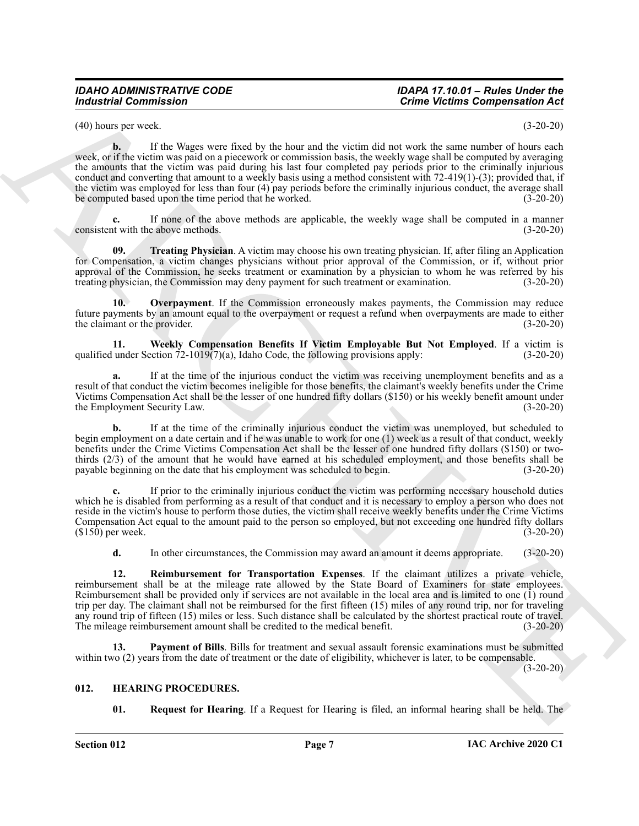(40) hours per week. (3-20-20)

**b.** If the Wages were fixed by the hour and the victim did not work the same number of hours each week, or if the victim was paid on a piecework or commission basis, the weekly wage shall be computed by averaging the amounts that the victim was paid during his last four completed pay periods prior to the criminally injurious conduct and converting that amount to a weekly basis using a method consistent with 72-419(1)-(3); provided that, if the victim was employed for less than four (4) pay periods before the criminally injurious conduct, the average shall be computed based upon the time period that he worked. (3-20-20)

**c.** If none of the above methods are applicable, the weekly wage shall be computed in a manner it with the above methods. (3-20-20) consistent with the above methods.

<span id="page-6-4"></span>**09. Treating Physician**. A victim may choose his own treating physician. If, after filing an Application for Compensation, a victim changes physicians without prior approval of the Commission, or if, without prior approval of the Commission, he seeks treatment or examination by a physician to whom he was referred by his treating physician, the Commission may deny payment for such treatment or examination. (3-20-20)

<span id="page-6-1"></span>**10. Overpayment**. If the Commission erroneously makes payments, the Commission may reduce future payments by an amount equal to the overpayment or request a refund when overpayments are made to either<br>the claimant or the provider. (3-20-20) the claimant or the provider.

<span id="page-6-5"></span>**11. Weekly Compensation Benefits If Victim Employable But Not Employed**. If a victim is under Section 72-1019(7)(a), Idaho Code, the following provisions apply: (3-20-20) qualified under Section  $72-1019(7)(a)$ , Idaho Code, the following provisions apply:

**a.** If at the time of the injurious conduct the victim was receiving unemployment benefits and as a result of that conduct the victim becomes ineligible for those benefits, the claimant's weekly benefits under the Crime Victims Compensation Act shall be the lesser of one hundred fifty dollars (\$150) or his weekly benefit amount under the Employment Security Law.

**b.** If at the time of the criminally injurious conduct the victim was unemployed, but scheduled to begin employment on a date certain and if he was unable to work for one (1) week as a result of that conduct, weekly benefits under the Crime Victims Compensation Act shall be the lesser of one hundred fifty dollars (\$150) or twothirds (2/3) of the amount that he would have earned at his scheduled employment, and those benefits shall be payable beginning on the date that his employment was scheduled to begin. (3-20-20)

**c.** If prior to the criminally injurious conduct the victim was performing necessary household duties which he is disabled from performing as a result of that conduct and it is necessary to employ a person who does not reside in the victim's house to perform those duties, the victim shall receive weekly benefits under the Crime Victims Compensation Act equal to the amount paid to the person so employed, but not exceeding one hundred fifty dollars (\$150) per week. (3-20-20)  $($150)$  per week.

<span id="page-6-3"></span>**d.** In other circumstances, the Commission may award an amount it deems appropriate. (3-20-20)

For the state of the state of the state of the state of the state of the state of the state of the state of the state of the state of the state of the state of the state of the state of the state of the state of the state **12. Reimbursement for Transportation Expenses**. If the claimant utilizes a private vehicle, reimbursement shall be at the mileage rate allowed by the State Board of Examiners for state employees. Reimbursement shall be provided only if services are not available in the local area and is limited to one (1) round trip per day. The claimant shall not be reimbursed for the first fifteen (15) miles of any round trip, nor for traveling any round trip of fifteen (15) miles or less. Such distance shall be calculated by the shortest practical route of travel. The mileage reimbursement amount shall be credited to the medical benefit. (3-20-20)

<span id="page-6-2"></span>**13. Payment of Bills**. Bills for treatment and sexual assault forensic examinations must be submitted within two (2) years from the date of treatment or the date of eligibility, whichever is later, to be compensable.

(3-20-20)

### <span id="page-6-0"></span>**012. HEARING PROCEDURES.**

<span id="page-6-7"></span><span id="page-6-6"></span>**01. Request for Hearing**. If a Request for Hearing is filed, an informal hearing shall be held. The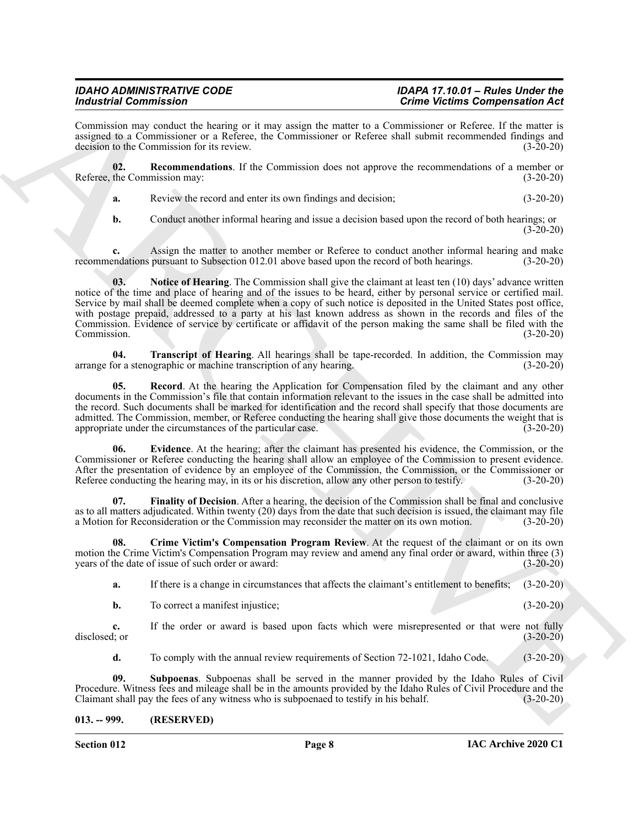Commission may conduct the hearing or it may assign the matter to a Commissioner or Referee. If the matter is assigned to a Commissioner or a Referee, the Commissioner or Referee shall submit recommended findings and decision to the Commission for its review. (3-20-20) decision to the Commission for its review.

**02. Recommendations**. If the Commission does not approve the recommendations of a member or Referee, the Commission may: (3-20-20)

<span id="page-7-5"></span>**a.** Review the record and enter its own findings and decision; (3-20-20)

<span id="page-7-4"></span>**b.** Conduct another informal hearing and issue a decision based upon the record of both hearings; or  $(3-20-20)$ 

**c.** Assign the matter to another member or Referee to conduct another informal hearing and make endations pursuant to Subsection 012.01 above based upon the record of both hearings. (3-20-20) recommendations pursuant to Subsection 012.01 above based upon the record of both hearings.

Formion and the commission of the two-states into the matter of the commission of the state of the commission of the commission of the commission of the commission of the commission of the commission of the commission of **03.** Notice of Hearing. The Commission shall give the claimant at least ten (10) days' advance written notice of the time and place of hearing and of the issues to be heard, either by personal service or certified mail. Service by mail shall be deemed complete when a copy of such notice is deposited in the United States post office, with postage prepaid, addressed to a party at his last known address as shown in the records and files of the Commission. Evidence of service by certificate or affidavit of the person making the same shall be filed with the Commission. (3-20-20)

<span id="page-7-8"></span>**04. Transcript of Hearing**. All hearings shall be tape-recorded. In addition, the Commission may or a stenographic or machine transcription of any hearing. arrange for a stenographic or machine transcription of any hearing.

<span id="page-7-6"></span>**05.** Record. At the hearing the Application for Compensation filed by the claimant and any other documents in the Commission's file that contain information relevant to the issues in the case shall be admitted into the record. Such documents shall be marked for identification and the record shall specify that those documents are admitted. The Commission, member, or Referee conducting the hearing shall give those documents the weight that is appropriate under the circumstances of the particular case. (3-20-20)

<span id="page-7-2"></span>**06. Evidence**. At the hearing; after the claimant has presented his evidence, the Commission, or the Commissioner or Referee conducting the hearing shall allow an employee of the Commission to present evidence. After the presentation of evidence by an employee of the Commission, the Commission, or the Commissioner or Referee conducting the hearing may, in its or his discretion, allow any other person to testify. (3-20-20) Referee conducting the hearing may, in its or his discretion, allow any other person to testify.

<span id="page-7-3"></span>Finality of Decision. After a hearing, the decision of the Commission shall be final and conclusive as to all matters adjudicated. Within twenty (20) days from the date that such decision is issued, the claimant may file a Motion for Reconsideration or the Commission may reconsider the matter on its own motion. (3-20-20)

**08. Crime Victim's Compensation Program Review**. At the request of the claimant or on its own motion the Crime Victim's Compensation Program may review and amend any final order or award, within three (3) years of the date of issue of such order or award: (3-20-20)

<span id="page-7-1"></span>**a.** If there is a change in circumstances that affects the claimant's entitlement to benefits; (3-20-20)

**b.** To correct a manifest injustice; (3-20-20)

**c.** If the order or award is based upon facts which were misrepresented or that were not fully disclosed; or (3-20-20) disclosed; or  $(3-20-20)$ 

<span id="page-7-7"></span>**d.** To comply with the annual review requirements of Section 72-1021, Idaho Code. (3-20-20)

**09. Subpoenas**. Subpoenas shall be served in the manner provided by the Idaho Rules of Civil Procedure. Witness fees and mileage shall be in the amounts provided by the Idaho Rules of Civil Procedure and the Claimant shall pay the fees of any witness who is subpoenaed to testify in his behalf. (3-20-20) Claimant shall pay the fees of any witness who is subpoenaed to testify in his behalf.

<span id="page-7-0"></span>**013. -- 999. (RESERVED)**

**Section 012 Page 8**